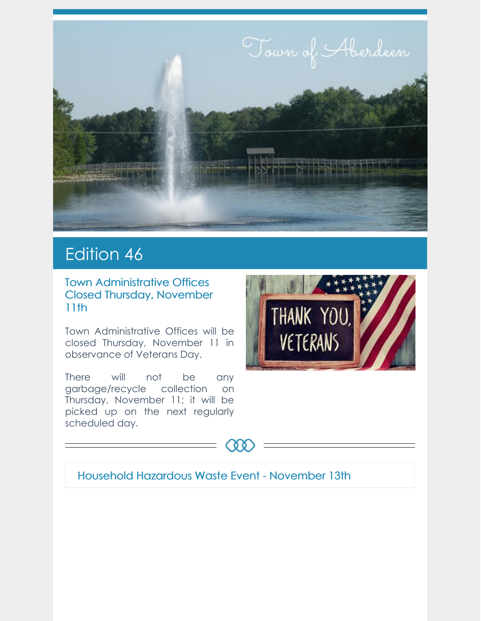

# Edition 46

Town Administrative Offices Closed Thursday, November 11th

Town Administrative Offices will be closed Thursday, November 11 in observance of Veterans Day.

There will not be any garbage/recycle collection on Thursday, November 11; it will be picked up on the next regularly scheduled day.





#### Household Hazardous Waste Event - November 13th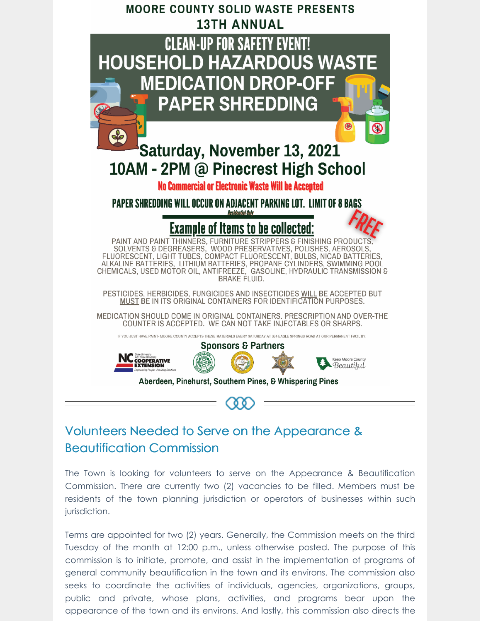

# Volunteers Needed to Serve on the Appearance & Beautification Commission

The Town is looking for volunteers to serve on the Appearance & Beautification Commission. There are currently two (2) vacancies to be filled. Members must be residents of the town planning jurisdiction or operators of businesses within such jurisdiction.

Terms are appointed for two (2) years. Generally, the Commission meets on the third Tuesday of the month at 12:00 p.m., unless otherwise posted. The purpose of this commission is to initiate, promote, and assist in the implementation of programs of general community beautification in the town and its environs. The commission also seeks to coordinate the activities of individuals, agencies, organizations, groups, public and private, whose plans, activities, and programs bear upon the appearance of the town and its environs. And lastly, this commission also directs the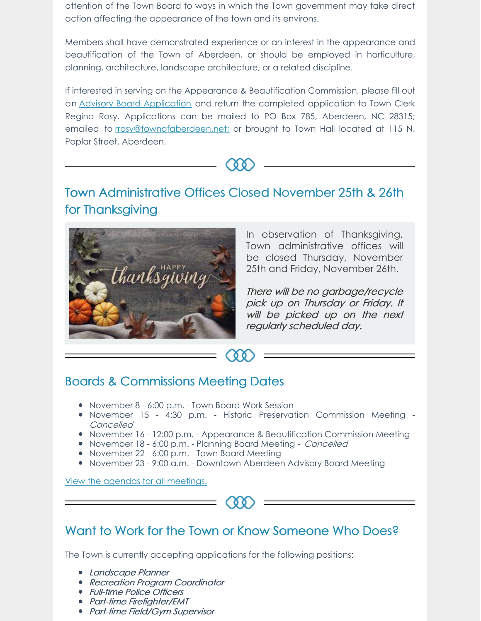attention of the Town Board to ways in which the Town government may take direct action affecting the appearance of the town and its environs.

Members shall have demonstrated experience or an interest in the appearance and beautification of the Town of Aberdeen, or should be employed in horticulture, planning, architecture, landscape architecture, or a related discipline.

If interested in serving on the Appearance & Beautification Commission, please fill out an Advisory Board [Application](https://aberdeennc.municipalone.com/files/documents/document135023702092816.pdf) and return the completed application to Town Clerk Regina Rosy. Applications can be mailed to PO Box 785, Aberdeen, NC 28315; emailed to [rrosy@townofaberdeen.net;](mailto:rrosy@townofaberdeen.net) or brought to Town Hall located at 115 N. Poplar Street, Aberdeen.



# Town Administrative Offices Closed November 25th & 26th for Thanksgiving



In observation of Thanksgiving, Town administrative offices will be closed Thursday, November 25th and Friday, November 26th.

There will be no garbage/recycle pick up on Thursday or Friday. It will be picked up on the next regularly scheduled day.

## Boards & Commissions Meeting Dates

- November 8 6:00 p.m. Town Board Work Session
- November 15 4:30 p.m. Historic Preservation Commission Meeting -Cancelled

 $00$ 

- November 16 12:00 p.m. Appearance & Beautification Commission Meeting
- November 18 6:00 p.m. Planning Board Meeting Cancelled
- November 22 6:00 p.m. Town Board Meeting
- November 23 9:00 a.m. Downtown Aberdeen Advisory Board Meeting

View the agendas for all [meetings.](https://www.townofaberdeen.net/agenda.aspx?id=2146&catid=29)



## Want to Work for the Town or Know Someone Who Does?

The Town is currently accepting applications for the following positions:

- Landscape Planner
- Recreation Program Coordinator
- Full-time Police Officers
- Part-time Firefighter/EMT
- Part-time Field/Gym Supervisor